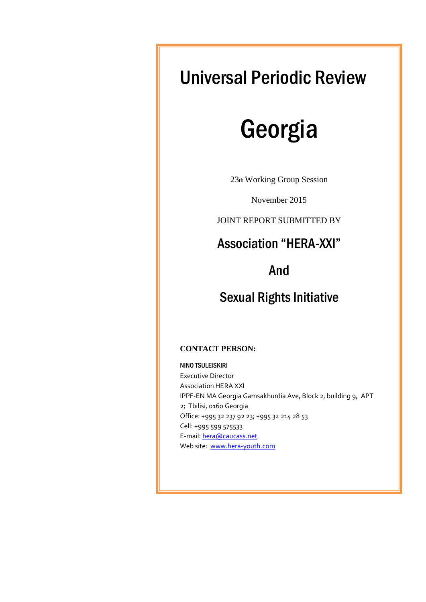## Universal Periodic Review

# Georgia

23th Working Group Session

November 2015

JOINT REPORT SUBMITTED BY

### Association "HERA-XXI"

### And

### Sexual Rights Initiative

#### **CONTACT PERSON:**

NINO TSULEISKIRI

Executive Director Association HERA XXI IPPF-EN MA Georgia Gamsakhurdia Ave, Block 2, building 9, APT 2; Tbilisi, 0160 Georgia Office: +995 32 237 92 23; +995 32 214 28 53 Cell: +995 599 575533 E-mail: [hera@caucass.net](mailto:hera@caucass.net) Web site: [www.hera-youth.com](http://www.hera-youth.com/)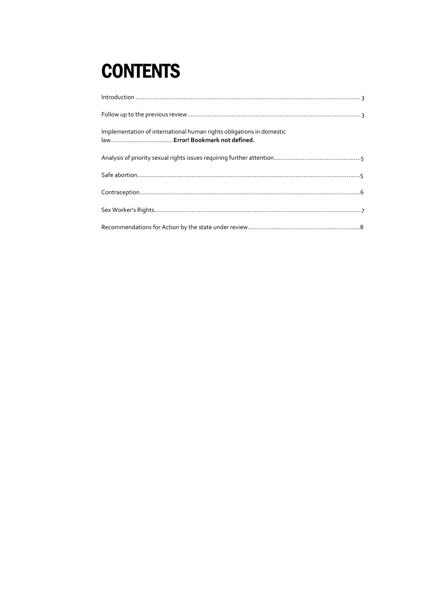# **CONTENTS**

| Implementation of international human rights obligations in domestic |
|----------------------------------------------------------------------|
|                                                                      |
|                                                                      |
|                                                                      |
|                                                                      |
|                                                                      |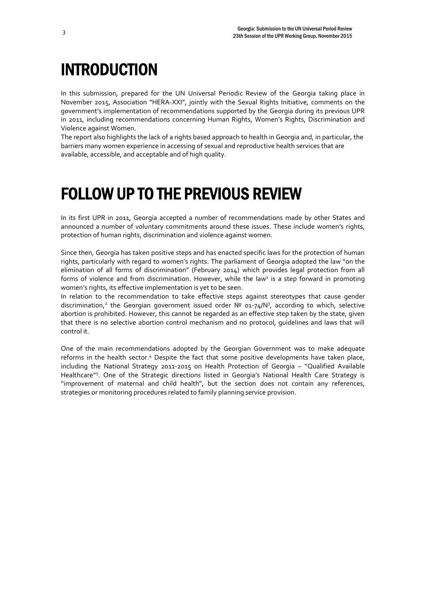## <span id="page-2-0"></span>INTRODUCTION

In this submission, prepared for the UN Universal Periodic Review of the Georgia taking place in November 2015, Association "HERA-XXI", jointly with the Sexual Rights Initiative, comments on the government's implementation of recommendations supported by the Georgia during its previous UPR in 2011, including recommendations concerning Human Rights, Women's Rights, Discrimination and Violence against Women.

The report also highlights the lack of a rights based approach to health in Georgia and, in particular, the barriers many women experience in accessing of sexual and reproductive health services that are available, accessible, and acceptable and of high quality.

### <span id="page-2-1"></span>FOLLOW UP TO THE PREVIOUS REVIEW

In its first UPR in 2011, Georgia accepted a number of recommendations made by other States and announced a number of voluntary commitments around these issues. These include women's rights, protection of human rights, discrimination and violence against women.

Since then, Georgia has taken positive steps and has enacted specific laws for the protection of human rights, particularly with regard to women's rights. The parliament of Georgia adopted the law "on the elimination of all forms of discrimination" (February 2014) which provides legal protection from all forms of violence and from discrimination. However, while the law<sup>1</sup> is a step forward in promoting women's rights, its effective implementation is yet to be seen.

In relation to the recommendation to take effective steps against stereotypes that cause gender discrimination,<sup>2</sup> the Georgian government issued order Nº 01-74/N<sup>3</sup>, according to which, selective abortion is prohibited. However, this cannot be regarded as an effective step taken by the state, given that there is no selective abortion control mechanism and no protocol, guidelines and laws that will control it.

One of the main recommendations adopted by the Georgian Government was to make adequate reforms in the health sector.<sup>4</sup> Despite the fact that some positive developments have taken place, including the National Strategy 2011-2015 on Health Protection of Georgia – "Qualified Available Healthcare"<sup>5</sup>. One of the Strategic directions listed in Georgia's National Health Care Strategy is "improvement of maternal and child health", but the section does not contain any references, strategies or monitoring procedures related to family planning service provision.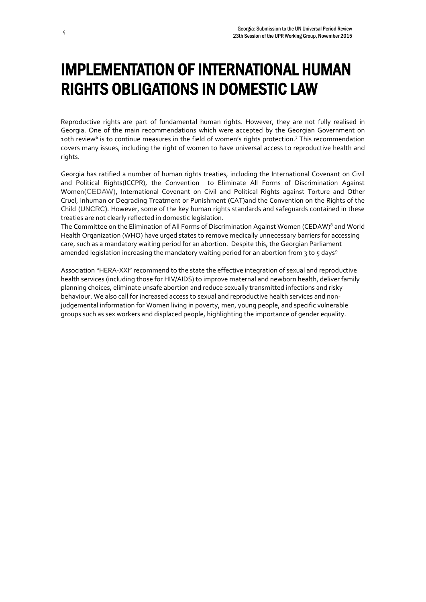## IMPLEMENTATION OF INTERNATIONAL HUMAN RIGHTS OBLIGATIONS IN DOMESTIC LAW

Reproductive rights are part of fundamental human rights. However, they are not fully realised in Georgia. One of the main recommendations which were accepted by the Georgian Government on 10th review<sup>6</sup> is to continue measures in the field of women's rights protection.<sup>7</sup> This recommendation covers many issues, including the right of women to have universal access to reproductive health and rights.

Georgia has ratified a number of human rights treaties, including the International Covenant on Civil and Political Rights(ICCPR), the Convention [to Eliminate All Forms of Discrimination Against](https://www.google.ge/url?sa=t&rct=j&q=&esrc=s&source=web&cd=1&cad=rja&uact=8&ved=0CBsQFjAA&url=http%3A%2F%2Fwww.un.org%2Fwomenwatch%2Fdaw%2Fcedaw%2F&ei=S7bdVM3BNs7YaqbagfgC&usg=AFQjCNGCAU1sMg0C3o2gDMwQNqxx0i9IwQ&bvm=bv.85970519,d.d2s) Women(CEDAW), International Covenant on Civil and Political Rights against Torture and Other Cruel, Inhuman or Degrading Treatment or Punishment (CAT)and the Convention on the Rights of the Child (UNCRC). However, some of the key human rights standards and safeguards contained in these treaties are not clearly reflected in domestic legislation.

The Committee on the Elimination of All Forms of Discrimination Against Women (CEDAW)<sup>8</sup> and World Health Organization (WHO) have urged states to remove medically unnecessary barriers for accessing care, such as a mandatory waiting period for an abortion. Despite this, the Georgian Parliament amended legislation increasing the mandatory waiting period for an abortion from 3 to 5 days<sup>9</sup>

Association "HERA-XXI" recommend to the state the effective integration of sexual and reproductive health services (including those for HIV/AIDS) to improve maternal and newborn health, deliver family planning choices, eliminate unsafe abortion and reduce sexually transmitted infections and risky behaviour. We also call for increased access to sexual and reproductive health services and nonjudgemental information for Women living in poverty, men, young people, and specific vulnerable groups such as sex workers and displaced people, highlighting the importance of gender equality.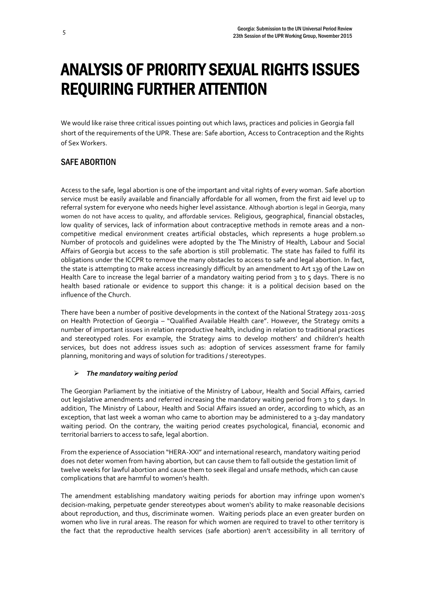## ANALYSIS OF PRIORITY SEXUAL RIGHTS ISSUES REQUIRING FURTHER ATTENTION

We would like raise three critical issues pointing out which laws, practices and policies in Georgia fall short of the requirements of the UPR. These are: Safe abortion, Access to Contraception and the Rights of Sex Workers.

#### SAFE ABORTION

Access to the safe, legal abortion is one of the important and vital rights of every woman. Safe abortion service must be easily available and financially affordable for all women, from the first aid level up to referral system for everyone who needs higher level assistance. Although abortion is legal in Georgia, many women do not have access to quality, and affordable services. Religious, geographical, financial obstacles, low quality of services, lack of information about contraceptive methods in remote areas and a noncompetitive medical environment creates artificial obstacles, which represents a huge problem.10 Number of protocols and guidelines were adopted by the The Ministry of Health, Labour and Social Affairs of Georgia but access to the safe abortion is still problematic. The state has failed to fulfil its obligations under the ICCPR to remove the many obstacles to access to safe and legal abortion. In fact, the state is attempting to make access increasingly difficult by an amendment to Art 139 of the Law on Health Care to increase the legal barrier of a mandatory waiting period from 3 to 5 days. There is no health based rationale or evidence to support this change: it is a political decision based on the influence of the Church.

There have been a number of positive developments in the context of the National Strategy 2011-2015 on Health Protection of Georgia – "Qualified Available Health care". However, the Strategy omits a number of important issues in relation reproductive health, including in relation to traditional practices and stereotyped roles. For example, the Strategy aims to develop mothers' and children's health services, but does not address issues such as: adoption of services assessment frame for family planning, monitoring and ways of solution for traditions / stereotypes.

#### *The mandatory waiting period*

The Georgian Parliament by the initiative of the Ministry of Labour, Health and Social Affairs, carried out legislative amendments and referred increasing the mandatory waiting period from 3 to 5 days. In addition, The Ministry of Labour, Health and Social Affairs issued an order, according to which, as an exception, that last week a woman who came to abortion may be administered to a 3-day mandatory waiting period. On the contrary, the waiting period creates psychological, financial, economic and territorial barriers to access to safe, legal abortion.

From the experience of Association "HERA-XXI" and international research, mandatory waiting period does not deter women from having abortion, but can cause them to fall outside the gestation limit of twelve weeks for lawful abortion and cause them to seek illegal and unsafe methods, which can cause complications that are harmful to women's health.

The amendment establishing mandatory waiting periods for abortion may infringe upon women's decision-making, perpetuate gender stereotypes about women's ability to make reasonable decisions about reproduction, and thus, discriminate women. Waiting periods place an even greater burden on women who live in rural areas. The reason for which women are required to travel to other territory is the fact that the reproductive health services (safe abortion) aren't accessibility in all territory of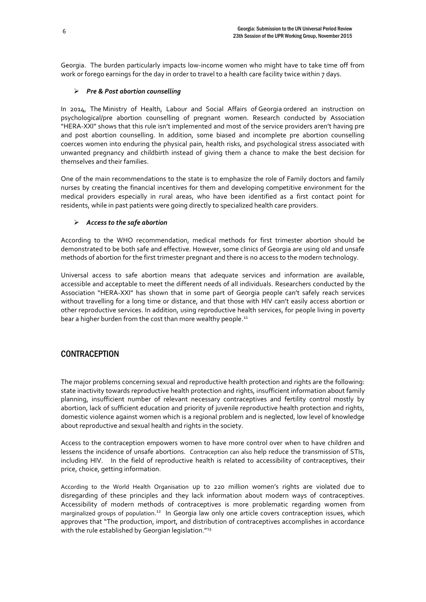Georgia. The burden particularly impacts low-income women who might have to take time off from work or forego earnings for the day in order to travel to a health care facility twice within 7 days.

#### *Pre & Post abortion counselling*

In 2014, The Ministry of Health, Labour and Social Affairs of Georgia ordered an instruction on psychological/pre abortion counselling of pregnant women. Research conducted by Association "HERA-XXI" shows that this rule isn't implemented and most of the service providers aren't having pre and post abortion counselling. In addition, some biased and incomplete pre abortion counselling coerces women into enduring the physical pain, health risks, and psychological stress associated with unwanted pregnancy and childbirth instead of giving them a chance to make the best decision for themselves and their families.

One of the main recommendations to the state is to emphasize the role of Family doctors and family nurses by creating the financial incentives for them and developing competitive environment for the medical providers especially in rural areas, who have been identified as a first contact point for residents, while in past patients were going directly to specialized health care providers.

#### *Access to the safe abortion*

According to the WHO recommendation, medical methods for first trimester abortion should be demonstrated to be both safe and effective. However, some clinics of Georgia are using old and unsafe methods of abortion for the first trimester pregnant and there is no access to the modern technology.

Universal access to safe abortion means that adequate services and information are available, accessible and acceptable to meet the different needs of all individuals. Researchers conducted by the Association "HERA-XXI" has shown that in some part of Georgia people can't safely reach services without travelling for a long time or distance, and that those with HIV can't easily access abortion or other reproductive services. In addition, using reproductive health services, for people living in poverty bear a higher burden from the cost than more wealthy people.<sup>11</sup>

#### **CONTRACEPTION**

The major problems concerning sexual and reproductive health protection and rights are the following: state inactivity towards reproductive health protection and rights, insufficient information about family planning, insufficient number of relevant necessary contraceptives and fertility control mostly by abortion, lack of sufficient education and priority of juvenile reproductive health protection and rights, domestic violence against women which is a regional problem and is neglected, low level of knowledge about reproductive and sexual health and rights in the society.

Access to the contraception empowers women to have more control over when to have children and lessens the incidence of unsafe abortions. Contraception can also help reduce the transmission of STIs, including HIV. In the field of reproductive health is related to accessibility of contraceptives, their price, choice, getting information.

According to the World Health Organisation up to 220 million women's rights are violated due to disregarding of these principles and they lack information about modern ways of contraceptives. Accessibility of modern methods of contraceptives is more problematic regarding women from marginalized groups of population.<sup>12</sup> In Georgia law only one article covers contraception issues, which approves that "The production, import, and distribution of contraceptives accomplishes in accordance with the rule established by Georgian legislation."<sup>13</sup>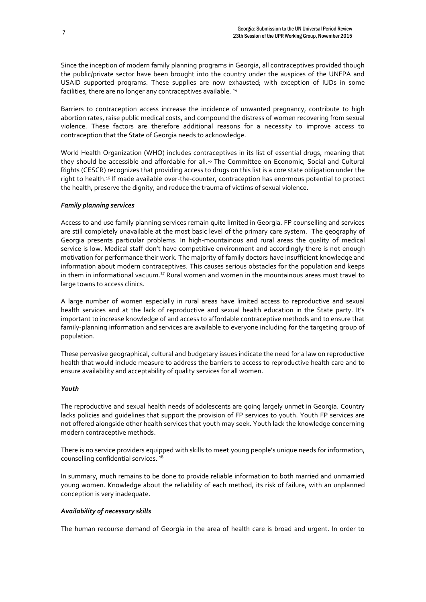Since the inception of modern family planning programs in Georgia, all contraceptives provided though the public/private sector have been brought into the country under the auspices of the UNFPA and USAID supported programs. These supplies are now exhausted; with exception of IUDs in some facilities, there are no longer any contraceptives available.<sup>14</sup>

Barriers to contraception access increase the incidence of unwanted pregnancy, contribute to high abortion rates, raise public medical costs, and compound the distress of women recovering from sexual violence. These factors are therefore additional reasons for a necessity to improve access to contraception that the State of Georgia needs to acknowledge.

World Health Organization (WHO) includes contraceptives in its list of essential drugs, meaning that they should be accessible and affordable for all.<sup>15</sup> The Committee on Economic, Social and Cultural Rights (CESCR) recognizes that providing access to drugs on this list is a core state obligation under the right to health.<sup>16</sup> If made available over-the-counter, contraception has enormous potential to protect the health, preserve the dignity, and reduce the trauma of victims of sexual violence.

#### *Family planning services*

Access to and use family planning services remain quite limited in Georgia. FP counselling and services are still completely unavailable at the most basic level of the primary care system. The geography of Georgia presents particular problems. In high-mountainous and rural areas the quality of medical service is low. Medical staff don't have competitive environment and accordingly there is not enough motivation for performance their work. The majority of family doctors have insufficient knowledge and information about modern contraceptives. This causes serious obstacles for the population and keeps in them in informational vacuum.<sup>17</sup> Rural women and women in the mountainous areas must travel to large towns to access clinics.

A large number of women especially in rural areas have limited access to reproductive and sexual health services and at the lack of reproductive and sexual health education in the State party. It's important to increase knowledge of and access to affordable contraceptive methods and to ensure that family-planning information and services are available to everyone including for the targeting group of population.

These pervasive geographical, cultural and budgetary issues indicate the need for a law on reproductive health that would include measure to address the barriers to access to reproductive health care and to ensure availability and acceptability of quality services for all women.

#### *Youth*

The reproductive and sexual health needs of adolescents are going largely unmet in Georgia. Country lacks policies and guidelines that support the provision of FP services to youth. Youth FP services are not offered alongside other health services that youth may seek. Youth lack the knowledge concerning modern contraceptive methods.

There is no service providers equipped with skills to meet young people's unique needs for information, counselling confidential services.<sup>18</sup>

In summary, much remains to be done to provide reliable information to both married and unmarried young women. Knowledge about the reliability of each method, its risk of failure, with an unplanned conception is very inadequate.

#### *Availability of necessary skills*

The human recourse demand of Georgia in the area of health care is broad and urgent. In order to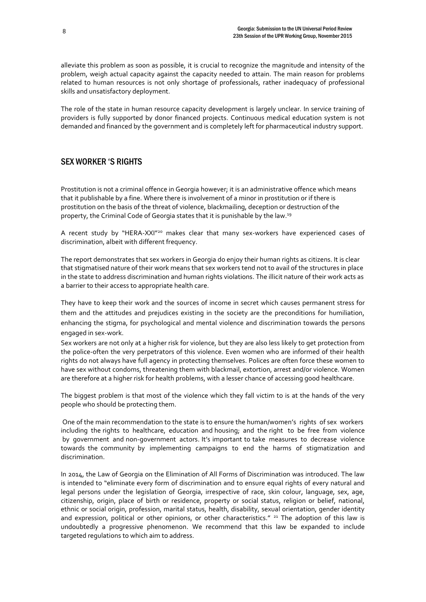alleviate this problem as soon as possible, it is crucial to recognize the magnitude and intensity of the problem, weigh actual capacity against the capacity needed to attain. The main reason for problems related to human resources is not only shortage of professionals, rather inadequacy of professional skills and unsatisfactory deployment.

The role of the state in human resource capacity development is largely unclear. In service training of providers is fully supported by donor financed projects. Continuous medical education system is not demanded and financed by the government and is completely left for pharmaceutical industry support.

#### SEX WORKER 'S RIGHTS

Prostitution is not a criminal offence in Georgia however; it is an administrative offence which means that it publishable by a fine. Where there is involvement of a minor in prostitution or if there is prostitution on the basis of the threat of violence, blackmailing, deception or destruction of the property, the Criminal Code of Georgia states that it is punishable by the law.<sup>19</sup>

A recent study by "HERA-XXI"<sup>20</sup> makes clear that many sex-workers have experienced cases of discrimination, albeit with different frequency.

The report demonstrates that sex workers in Georgia do enjoy their human rights as citizens. It is clear that stigmatised nature of their work means that sex workers tend not to avail of the structures in place in the state to address discrimination and human rights violations. The illicit nature of their work acts as a barrier to their access to appropriate health care.

They have to keep their work and the sources of income in secret which causes permanent stress for them and the attitudes and prejudices existing in the society are the preconditions for humiliation, enhancing the stigma, for psychological and mental violence and discrimination towards the persons engaged in sex-work.

Sex workers are not only at a higher risk for violence, but they are also less likely to get protection from the police-often the very perpetrators of this violence. Even women who are informed of their health rights do not always have full agency in protecting themselves. Polices are often force these women to have sex without condoms, threatening them with blackmail, extortion, arrest and/or violence. Women are therefore at a higher risk for health problems, with a lesser chance of accessing good healthcare.

The biggest problem is that most of the violence which they fall victim to is at the hands of the very people who should be protecting them.

One of the main recommendation to the state is to ensure the human/women's rights of sex workers including the rights to healthcare, education and housing; and the right to be free from violence by government and non-government actors. It's important to take measures to decrease violence towards the community by implementing campaigns to end the harms of stigmatization and discrimination.

In 2014, the Law of Georgia on the Elimination of All Forms of Discrimination was introduced. The law is intended to "eliminate every form of discrimination and to ensure equal rights of every natural and legal persons under the legislation of Georgia, irrespective of race, skin colour, language, sex, age, citizenship, origin, place of birth or residence, property or social status, religion or belief, national, ethnic or social origin, profession, marital status, health, disability, sexual orientation, gender identity and expression, political or other opinions, or other characteristics." <sup>21</sup> The adoption of this law is undoubtedly a progressive phenomenon. We recommend that this law be expanded to include targeted regulations to which aim to address.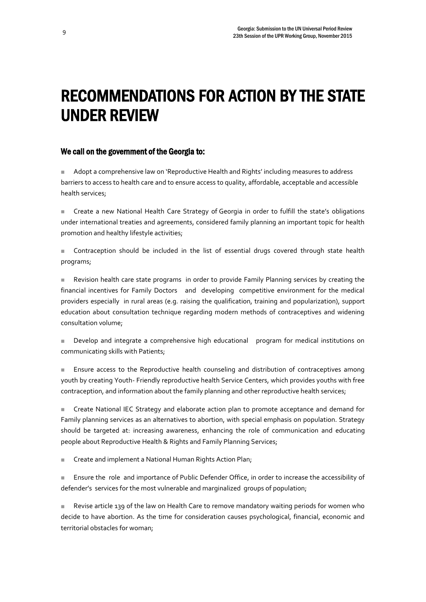### RECOMMENDATIONS FOR ACTION BY THE STATE UNDER REVIEW

#### We call on the government of the Georgia to:

 Adopt a comprehensive law on 'Reproductive Health and Rights' including measures to address barriers to access to health care and to ensure access to quality, affordable, acceptable and accessible health services;

 Create a new National Health Care Strategy of Georgia in order to fulfill the state's obligations under international treaties and agreements, considered family planning an important topic for health promotion and healthy lifestyle activities;

Contraception should be included in the list of essential drugs covered through state health programs;

 Revision health care state programs in order to provide Family Planning services by creating the financial incentives for Family Doctors and developing competitive environment for the medical providers especially in rural areas (e.g. raising the qualification, training and popularization), support education about consultation technique regarding modern methods of contraceptives and widening consultation volume;

 Develop and integrate a comprehensive high educational program for medical institutions on communicating skills with Patients;

**E** Ensure access to the Reproductive health counseling and distribution of contraceptives among youth by creating Youth- Friendly reproductive health Service Centers, which provides youths with free contraception, and information about the family planning and other reproductive health services;

 Create National IEC Strategy and elaborate action plan to promote acceptance and demand for Family planning services as an alternatives to abortion, with special emphasis on population. Strategy should be targeted at: increasing awareness, enhancing the role of communication and educating people about Reproductive Health & Rights and Family Planning Services;

■ Create and implement a National Human Rights Action Plan;

 Ensure the role and importance of Public Defender Office, in order to increase the accessibility of defender's services for the most vulnerable and marginalized groups of population;

 Revise article 139 of the law on Health Care to remove mandatory waiting periods for women who decide to have abortion. As the time for consideration causes psychological, financial, economic and territorial obstacles for woman;